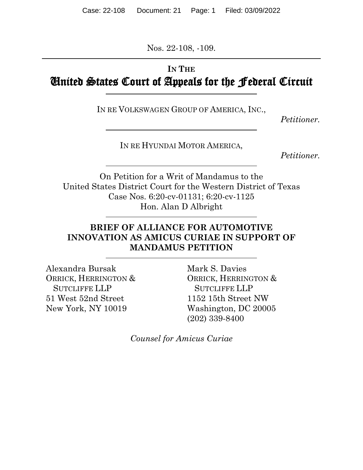Nos. 22-108, -109.

## **IN THE** United States Court of Appeals for the Federal Circuit

IN RE VOLKSWAGEN GROUP OF AMERICA, INC.,

*Petitioner.*

IN RE HYUNDAI MOTOR AMERICA,

*Petitioner.*

On Petition for a Writ of Mandamus to the United States District Court for the Western District of Texas Case Nos. 6:20-cv-01131; 6:20-cv-1125 Hon. Alan D Albright

### **BRIEF OF ALLIANCE FOR AUTOMOTIVE INNOVATION AS AMICUS CURIAE IN SUPPORT OF MANDAMUS PETITION**

Alexandra Bursak ORRICK, HERRINGTON & SUTCLIFFE LLP 51 West 52nd Street New York, NY 10019

Mark S. Davies ORRICK, HERRINGTON & SUTCLIFFE LLP 1152 15th Street NW Washington, DC 20005 (202) 339-8400

*Counsel for Amicus Curiae*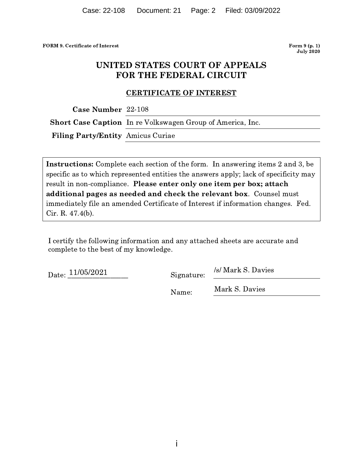FORM 9. Certificate of Intere

est **Form** Form 9 (p. 1) **July 2020** 

# UNITED STATES COURT O! **F APPEALS<br>ERCUIT** FOR THE FEDERAL CIRCUIT )<br>| STATES COURT OF APPEA<br>| R THE FEDERAL CIRCUIT

#### <u>CERTIFICATE OF INTEREST</u>

 $\textbf{Case Number } 22-108$ 

Short Case Caption In re Volkswagen Group of America, Inc.

Filing Party/Entity Amicus Curiae

**Instructions:** Complete each section of the form. In answering items 2 and 3, be  $\parallel$ specific as to which represented entities the answers apply; lack of specificity may result in non-compliance. Please enter only one item per box; attach additional pages as needed and check the relevant box.  $\,$  Counsel must  $\,$ immediately file an amended Certificate of Interest if information changes. Fed. Cir. R. 47.4(b).

I certify the following information and any attached sheets are accurate and complete to the best of my knowledge.

Date:  $\frac{11}{100}$  $\frac{202}{202}$  Signature:  $\frac{8}{100}$   $\frac{1}{100}$   $\frac{5}{100}$   $\frac{5}{100}$ 

Signature: /s/ Mark S. Davies

 $Name:$   $\frac{1 \times 25}{1000}$   $\frac{1 \times 25}{1000}$ Mark S. Davies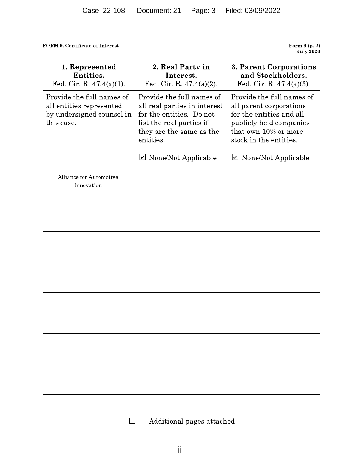#### FORM 9. Certificate of Interest

Form 9 (p. 2)<br>July 2020

| 1. Represented<br>Entities.<br>Fed. Cir. R. $47.4(a)(1)$ .                                       | 2. Real Party in<br>Interest.<br>Fed. Cir. R. $47.4(a)(2)$ .                                                                                               | 3. Parent Corporations<br>and Stockholders.<br>Fed. Cir. R. $47.4(a)(3)$ .                                                                                    |
|--------------------------------------------------------------------------------------------------|------------------------------------------------------------------------------------------------------------------------------------------------------------|---------------------------------------------------------------------------------------------------------------------------------------------------------------|
| Provide the full names of<br>all entities represented<br>by undersigned counsel in<br>this case. | Provide the full names of<br>all real parties in interest<br>for the entities. Do not<br>list the real parties if<br>they are the same as the<br>entities. | Provide the full names of<br>all parent corporations<br>for the entities and all<br>publicly held companies<br>that own 10% or more<br>stock in the entities. |
|                                                                                                  | $\triangleright$ None/Not Applicable                                                                                                                       | $\triangleright$ None/Not Applicable                                                                                                                          |
| Alliance for Automotive<br>Innovation                                                            |                                                                                                                                                            |                                                                                                                                                               |
|                                                                                                  |                                                                                                                                                            |                                                                                                                                                               |
|                                                                                                  |                                                                                                                                                            |                                                                                                                                                               |
|                                                                                                  |                                                                                                                                                            |                                                                                                                                                               |
|                                                                                                  |                                                                                                                                                            |                                                                                                                                                               |
|                                                                                                  |                                                                                                                                                            |                                                                                                                                                               |
|                                                                                                  |                                                                                                                                                            |                                                                                                                                                               |
|                                                                                                  |                                                                                                                                                            |                                                                                                                                                               |
|                                                                                                  |                                                                                                                                                            |                                                                                                                                                               |
|                                                                                                  |                                                                                                                                                            |                                                                                                                                                               |
|                                                                                                  |                                                                                                                                                            |                                                                                                                                                               |
|                                                                                                  |                                                                                                                                                            |                                                                                                                                                               |
|                                                                                                  | Additional pages attached                                                                                                                                  |                                                                                                                                                               |

Additional pages attached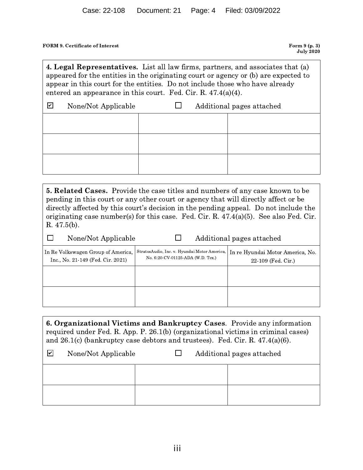FORM 9. Certificate of Intere

 $\Box$ 

est **Form** Form 9 (p. 3) **July 2020** 

4. Legal Repre  $\frac{F \text{orm 9 (p. 3)}}{\text{July 2020}}$ <br>  $\frac{F \text{orm 9 (p. 3)}}{\text{July 2020}}$ <br>  $\frac{F \text{orm 9 (p. 3)}}{\text{key 2020}}$ <br>  $\frac{F \text{orm 9 (p. 3)}}{\text{key 2020}}$  $\begin{array}{c} \text{July 2020}\ \textbf{4. Legal Representatives.} \end{array}$  List all law firms, partners, and associates that (a)<br>appeared for the entities in the originating court or agency or (b) are expected to<br>appear in this court for the entities. Do not in 4. Legal Representatives. List all law firms, partners, and associates that appeared for the entities in the originating court or agency or (b) are expecte appear in this court for the entities. Do not include those who h appeared for the entities in the originating court or agency or (b) are expected to appear in this court for the entities. Do not include those who have already entered an appearance in this court. Fed. Cir. R.  $47.4(a)(4)$ appear in this court for the entities. Do not include those who have already

| $\sqrt{2}$ | None/Not Applicable | Additional pages attached<br>$\mathbf{I}$ |  |  |
|------------|---------------------|-------------------------------------------|--|--|
|            |                     |                                           |  |  |
|            |                     |                                           |  |  |
|            |                     |                                           |  |  |
|            |                     |                                           |  |  |

**5. Related Cases.** Provide the case titles and numbers of any case known to be pending in this court or any other court or agency that will directly affect or be directly affected by this court's decision in the pending appeal. Do not include the 3. Netated Cases. Provide the case titles and numbers of any case known to be<br>pending in this court or any other court or agency that will directly affect or be<br>directly affected by this court's decision in the pending ap  $R.47.5(b).$ Example 1 at ing case number(s) for this case. Fed. Cir. R. 47.4(a)(5). See also  $(6b)$ .<br>None/Not Applicable  $\Box$  Additional pages attached

| THUILLING TIPPILLANIC                                                   |                                                                                   | Traditional pages attacned                               |
|-------------------------------------------------------------------------|-----------------------------------------------------------------------------------|----------------------------------------------------------|
| In Re Volkswagen Group of America,<br>Inc., No. 21-149 (Fed. Cir. 2021) | StratosAudio, Inc. v. Hyundai Motor America,<br>No. 6:20-CV-01125-ADA (W.D. Tex.) | In re Hyundai Motor America, No.<br>$22-109$ (Fed. Cir.) |
|                                                                         |                                                                                   |                                                          |
|                                                                         |                                                                                   |                                                          |

6. Organizational Victims and Bankru  $[{\it (a)}] \centering \label{thm:2}$  <br>  $[{\it (a)}] \centering \centering \centering \centering \centering \centering \centering \centering \label{thm:2}$ 6. Organizational Victims and Bankruptcy Cases. Provide any information<br>required under Fed. R. App. P. 26.1(b) (organizational victims in criminal cases)<br>and 26.1(c) (bankruptcy case debtors and trustees). Fed. Cir. R. 47 **6. Organizational Victims and Bankruptcy Cases**. Provide any informa<br>required under Fed. R. App. P. 26.1(b) (organizational victims in criminal ca<br>and 26.1(c) (bankruptcy case debtors and trustees). Fed. Cir. R. 47.4(a)(6 required under Fed. R. App. P. 26.1(b) (organizational victims in criminal cases) and 26.1(c) (bankruptcy case debtors and trustees). Fed. Cir. R.  $47.4(a)(6)$ .

| $\vert\bm{\mathsf{v}}\vert$ | None/Not Applicable | $\mathbf{1}$ | Additional pages attached |  |
|-----------------------------|---------------------|--------------|---------------------------|--|
|                             |                     |              |                           |  |
|                             |                     |              |                           |  |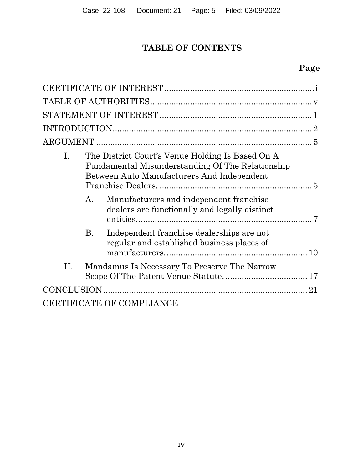# **TABLE OF CONTENTS**

# **Page**

| I. |           | The District Court's Venue Holding Is Based On A<br>Fundamental Misunderstanding Of The Relationship<br>Between Auto Manufacturers And Independent |
|----|-----------|----------------------------------------------------------------------------------------------------------------------------------------------------|
|    | A.        | Manufacturers and independent franchise<br>dealers are functionally and legally distinct                                                           |
|    | <b>B.</b> | Independent franchise dealerships are not<br>regular and established business places of                                                            |
| Η. |           | Mandamus Is Necessary To Preserve The Narrow                                                                                                       |
|    |           | 21                                                                                                                                                 |
|    |           | <b>CERTIFICATE OF COMPLIANCE</b>                                                                                                                   |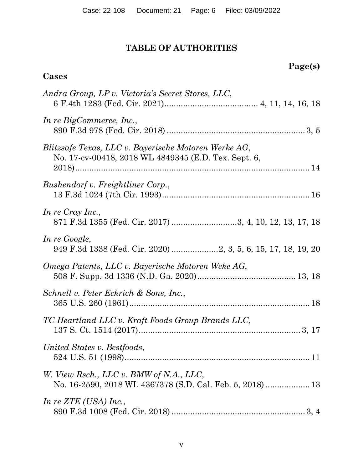## **TABLE OF AUTHORITIES**

# **Page(s)**

## **Cases**

| Andra Group, LP v. Victoria's Secret Stores, LLC,                                                            |
|--------------------------------------------------------------------------------------------------------------|
| In re BigCommerce, Inc.,                                                                                     |
| Blitzsafe Texas, LLC v. Bayerische Motoren Werke AG,<br>No. 17-cv-00418, 2018 WL 4849345 (E.D. Tex. Sept. 6, |
| Bushendorf v. Freightliner Corp.,                                                                            |
| In re Cray Inc.,<br>871 F.3d 1355 (Fed. Cir. 2017) 3, 4, 10, 12, 13, 17, 18                                  |
| In re Google,<br>949 F.3d 1338 (Fed. Cir. 2020) 2, 3, 5, 6, 15, 17, 18, 19, 20                               |
| Omega Patents, LLC v. Bayerische Motoren Weke AG,                                                            |
| Schnell v. Peter Eckrich & Sons, Inc.,                                                                       |
| TC Heartland LLC v. Kraft Foods Group Brands LLC,                                                            |
| United States v. Bestfoods,                                                                                  |
| W. View Rsch., LLC v. BMW of N.A., LLC,                                                                      |
| In re $ZTE$ (USA) Inc.,                                                                                      |
|                                                                                                              |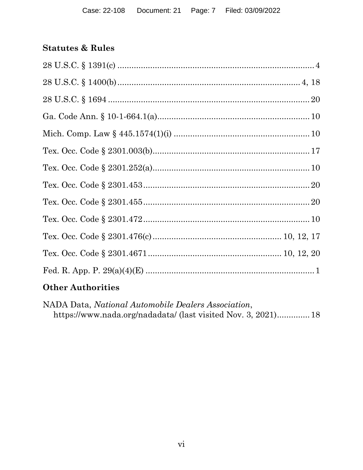### **Statutes & Rules**

### **Other Authorities**

NADA Data, National Automobile Dealers Association, https://www.nada.org/nadadata/ (last visited Nov. 3, 2021).............. 18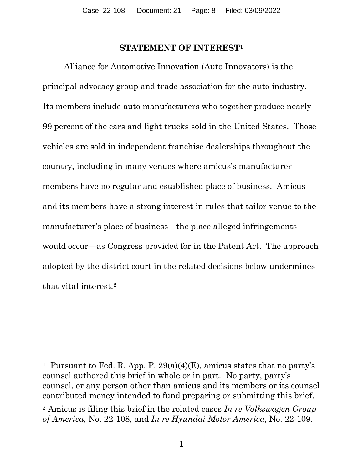#### **STATEMENT OF INTEREST1**

Alliance for Automotive Innovation (Auto Innovators) is the principal advocacy group and trade association for the auto industry. Its members include auto manufacturers who together produce nearly 99 percent of the cars and light trucks sold in the United States. Those vehicles are sold in independent franchise dealerships throughout the country, including in many venues where amicus's manufacturer members have no regular and established place of business. Amicus and its members have a strong interest in rules that tailor venue to the manufacturer's place of business—the place alleged infringements would occur—as Congress provided for in the Patent Act. The approach adopted by the district court in the related decisions below undermines that vital interest.2

<sup>&</sup>lt;sup>1</sup> Pursuant to Fed. R. App. P.  $29(a)(4)(E)$ , amicus states that no party's counsel authored this brief in whole or in part. No party, party's counsel, or any person other than amicus and its members or its counsel contributed money intended to fund preparing or submitting this brief.

<sup>2</sup> Amicus is filing this brief in the related cases *In re Volkswagen Group of America*, No. 22-108, and *In re Hyundai Motor America*, No. 22-109.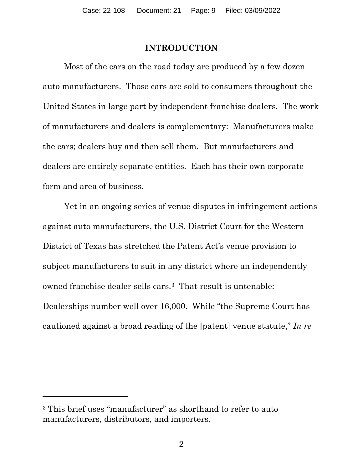#### **INTRODUCTION**

Most of the cars on the road today are produced by a few dozen auto manufacturers. Those cars are sold to consumers throughout the United States in large part by independent franchise dealers. The work of manufacturers and dealers is complementary: Manufacturers make the cars; dealers buy and then sell them. But manufacturers and dealers are entirely separate entities. Each has their own corporate form and area of business.

Yet in an ongoing series of venue disputes in infringement actions against auto manufacturers, the U.S. District Court for the Western District of Texas has stretched the Patent Act's venue provision to subject manufacturers to suit in any district where an independently owned franchise dealer sells cars.3 That result is untenable: Dealerships number well over 16,000. While "the Supreme Court has cautioned against a broad reading of the [patent] venue statute," *In re* 

<sup>&</sup>lt;sup>3</sup> This brief uses "manufacturer" as shorthand to refer to auto manufacturers, distributors, and importers.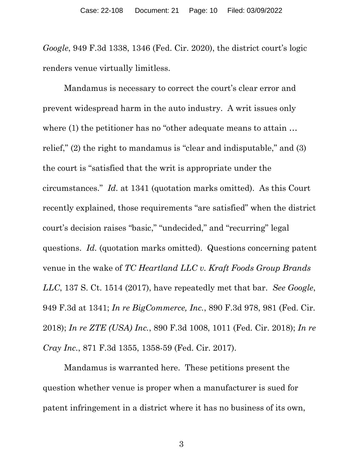*Google*, 949 F.3d 1338, 1346 (Fed. Cir. 2020), the district court's logic renders venue virtually limitless.

Mandamus is necessary to correct the court's clear error and prevent widespread harm in the auto industry. A writ issues only where (1) the petitioner has no "other adequate means to attain ... relief," (2) the right to mandamus is "clear and indisputable," and (3) the court is "satisfied that the writ is appropriate under the circumstances." *Id.* at 1341 (quotation marks omitted). As this Court recently explained, those requirements "are satisfied" when the district court's decision raises "basic," "undecided," and "recurring" legal questions. *Id.* (quotation marks omitted). Questions concerning patent venue in the wake of *TC Heartland LLC v. Kraft Foods Group Brands LLC*, 137 S. Ct. 1514 (2017), have repeatedly met that bar. *See Google*, 949 F.3d at 1341; *In re BigCommerce, Inc.*, 890 F.3d 978, 981 (Fed. Cir. 2018); *In re ZTE (USA) Inc.*, 890 F.3d 1008, 1011 (Fed. Cir. 2018); *In re Cray Inc.*, 871 F.3d 1355, 1358-59 (Fed. Cir. 2017).

Mandamus is warranted here. These petitions present the question whether venue is proper when a manufacturer is sued for patent infringement in a district where it has no business of its own,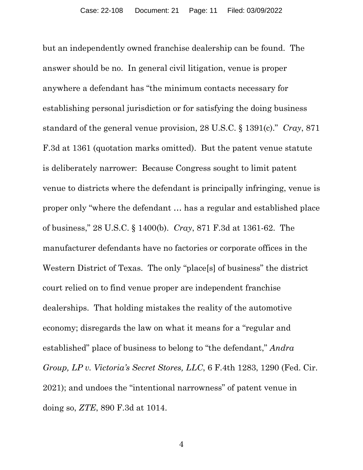but an independently owned franchise dealership can be found. The answer should be no. In general civil litigation, venue is proper anywhere a defendant has "the minimum contacts necessary for establishing personal jurisdiction or for satisfying the doing business standard of the general venue provision, 28 U.S.C. § 1391(c)." *Cray*, 871 F.3d at 1361 (quotation marks omitted). But the patent venue statute is deliberately narrower: Because Congress sought to limit patent venue to districts where the defendant is principally infringing, venue is proper only "where the defendant … has a regular and established place of business," 28 U.S.C. § 1400(b). *Cray*, 871 F.3d at 1361-62. The manufacturer defendants have no factories or corporate offices in the Western District of Texas. The only "place[s] of business" the district court relied on to find venue proper are independent franchise dealerships. That holding mistakes the reality of the automotive economy; disregards the law on what it means for a "regular and established" place of business to belong to "the defendant," *Andra Group, LP v. Victoria's Secret Stores, LLC*, 6 F.4th 1283, 1290 (Fed. Cir. 2021); and undoes the "intentional narrowness" of patent venue in doing so, *ZTE*, 890 F.3d at 1014.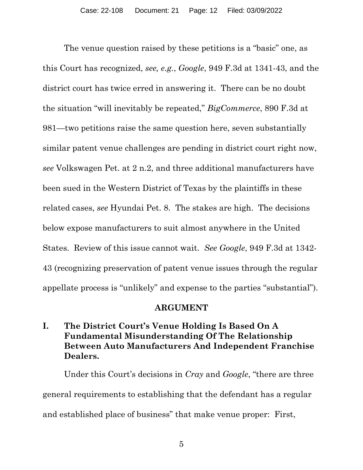The venue question raised by these petitions is a "basic" one, as this Court has recognized, *see, e.g.*, *Google*, 949 F.3d at 1341-43, and the district court has twice erred in answering it. There can be no doubt the situation "will inevitably be repeated," *BigCommerce*, 890 F.3d at 981—two petitions raise the same question here, seven substantially similar patent venue challenges are pending in district court right now, *see* Volkswagen Pet. at 2 n.2, and three additional manufacturers have been sued in the Western District of Texas by the plaintiffs in these related cases, *see* Hyundai Pet. 8. The stakes are high. The decisions below expose manufacturers to suit almost anywhere in the United States. Review of this issue cannot wait. *See Google*, 949 F.3d at 1342- 43 (recognizing preservation of patent venue issues through the regular appellate process is "unlikely" and expense to the parties "substantial").

#### **ARGUMENT**

### **I. The District Court's Venue Holding Is Based On A Fundamental Misunderstanding Of The Relationship Between Auto Manufacturers And Independent Franchise Dealers.**

Under this Court's decisions in *Cray* and *Google*, "there are three general requirements to establishing that the defendant has a regular and established place of business" that make venue proper: First,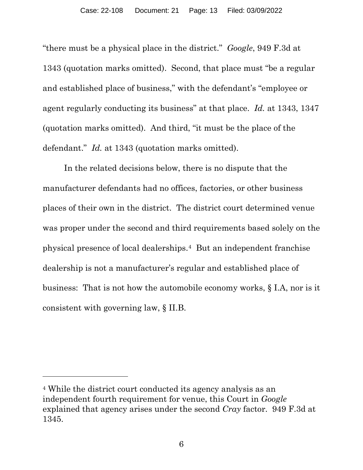"there must be a physical place in the district." *Google*, 949 F.3d at 1343 (quotation marks omitted). Second, that place must "be a regular and established place of business," with the defendant's "employee or agent regularly conducting its business" at that place. *Id.* at 1343, 1347 (quotation marks omitted). And third, "it must be the place of the defendant." *Id.* at 1343 (quotation marks omitted).

In the related decisions below, there is no dispute that the manufacturer defendants had no offices, factories, or other business places of their own in the district. The district court determined venue was proper under the second and third requirements based solely on the physical presence of local dealerships.4 But an independent franchise dealership is not a manufacturer's regular and established place of business: That is not how the automobile economy works, § I.A, nor is it consistent with governing law, § II.B.

<sup>4</sup> While the district court conducted its agency analysis as an independent fourth requirement for venue, this Court in *Google*  explained that agency arises under the second *Cray* factor. 949 F.3d at 1345.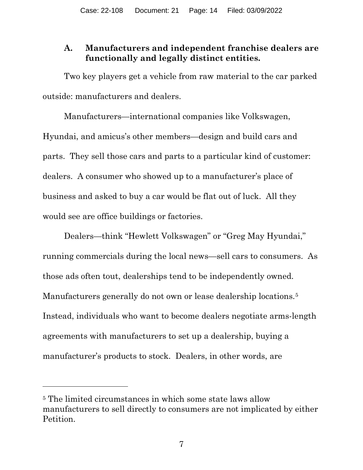### **A. Manufacturers and independent franchise dealers are functionally and legally distinct entities.**

Two key players get a vehicle from raw material to the car parked outside: manufacturers and dealers.

Manufacturers—international companies like Volkswagen, Hyundai, and amicus's other members—design and build cars and parts. They sell those cars and parts to a particular kind of customer: dealers. A consumer who showed up to a manufacturer's place of business and asked to buy a car would be flat out of luck. All they would see are office buildings or factories.

Dealers—think "Hewlett Volkswagen" or "Greg May Hyundai," running commercials during the local news—sell cars to consumers. As those ads often tout, dealerships tend to be independently owned. Manufacturers generally do not own or lease dealership locations.<sup>5</sup> Instead, individuals who want to become dealers negotiate arms-length agreements with manufacturers to set up a dealership, buying a manufacturer's products to stock. Dealers, in other words, are

<sup>5</sup> The limited circumstances in which some state laws allow manufacturers to sell directly to consumers are not implicated by either Petition.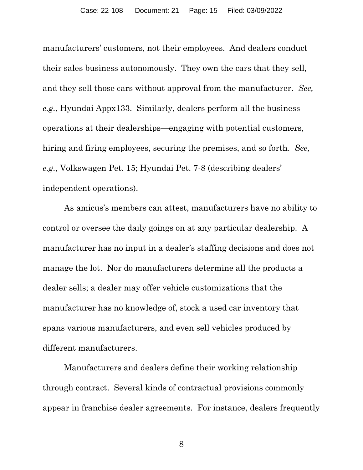manufacturers' customers, not their employees. And dealers conduct their sales business autonomously. They own the cars that they sell, and they sell those cars without approval from the manufacturer. *See, e.g.*, Hyundai Appx133. Similarly, dealers perform all the business operations at their dealerships—engaging with potential customers, hiring and firing employees, securing the premises, and so forth. *See, e.g.*, Volkswagen Pet. 15; Hyundai Pet. 7-8 (describing dealers' independent operations).

As amicus's members can attest, manufacturers have no ability to control or oversee the daily goings on at any particular dealership. A manufacturer has no input in a dealer's staffing decisions and does not manage the lot. Nor do manufacturers determine all the products a dealer sells; a dealer may offer vehicle customizations that the manufacturer has no knowledge of, stock a used car inventory that spans various manufacturers, and even sell vehicles produced by different manufacturers.

Manufacturers and dealers define their working relationship through contract. Several kinds of contractual provisions commonly appear in franchise dealer agreements. For instance, dealers frequently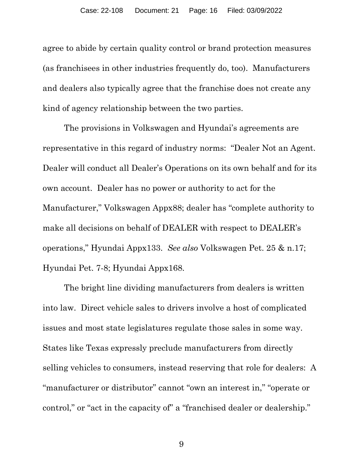agree to abide by certain quality control or brand protection measures (as franchisees in other industries frequently do, too). Manufacturers and dealers also typically agree that the franchise does not create any kind of agency relationship between the two parties.

The provisions in Volkswagen and Hyundai's agreements are representative in this regard of industry norms: "Dealer Not an Agent. Dealer will conduct all Dealer's Operations on its own behalf and for its own account. Dealer has no power or authority to act for the Manufacturer," Volkswagen Appx88; dealer has "complete authority to make all decisions on behalf of DEALER with respect to DEALER's operations," Hyundai Appx133. *See also* Volkswagen Pet. 25 & n.17; Hyundai Pet. 7-8; Hyundai Appx168.

The bright line dividing manufacturers from dealers is written into law. Direct vehicle sales to drivers involve a host of complicated issues and most state legislatures regulate those sales in some way. States like Texas expressly preclude manufacturers from directly selling vehicles to consumers, instead reserving that role for dealers: A "manufacturer or distributor" cannot "own an interest in," "operate or control," or "act in the capacity of" a "franchised dealer or dealership."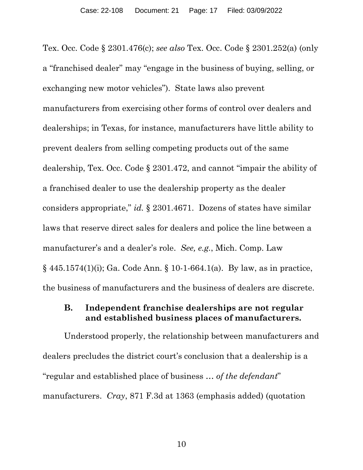Tex. Occ. Code § 2301.476(c); *see also* Tex. Occ. Code § 2301.252(a) (only a "franchised dealer" may "engage in the business of buying, selling, or exchanging new motor vehicles"). State laws also prevent manufacturers from exercising other forms of control over dealers and dealerships; in Texas, for instance, manufacturers have little ability to prevent dealers from selling competing products out of the same dealership, Tex. Occ. Code § 2301.472, and cannot "impair the ability of a franchised dealer to use the dealership property as the dealer considers appropriate," *id.* § 2301.4671. Dozens of states have similar laws that reserve direct sales for dealers and police the line between a manufacturer's and a dealer's role. *See, e.g.*, Mich. Comp. Law § 445.1574(1)(i); Ga. Code Ann. § 10-1-664.1(a). By law, as in practice, the business of manufacturers and the business of dealers are discrete.

#### **B. Independent franchise dealerships are not regular and established business places of manufacturers.**

Understood properly, the relationship between manufacturers and dealers precludes the district court's conclusion that a dealership is a "regular and established place of business … *of the defendant*" manufacturers. *Cray*, 871 F.3d at 1363 (emphasis added) (quotation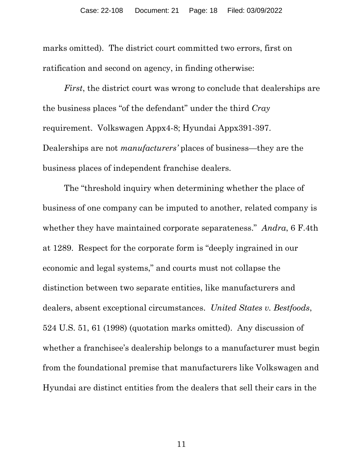marks omitted). The district court committed two errors, first on ratification and second on agency, in finding otherwise:

*First*, the district court was wrong to conclude that dealerships are the business places "of the defendant" under the third *Cray*  requirement. Volkswagen Appx4-8; Hyundai Appx391-397. Dealerships are not *manufacturers'* places of business—they are the business places of independent franchise dealers.

The "threshold inquiry when determining whether the place of business of one company can be imputed to another, related company is whether they have maintained corporate separateness." *Andra*, 6 F.4th at 1289. Respect for the corporate form is "deeply ingrained in our economic and legal systems," and courts must not collapse the distinction between two separate entities, like manufacturers and dealers, absent exceptional circumstances. *United States v. Bestfoods*, 524 U.S. 51, 61 (1998) (quotation marks omitted). Any discussion of whether a franchisee's dealership belongs to a manufacturer must begin from the foundational premise that manufacturers like Volkswagen and Hyundai are distinct entities from the dealers that sell their cars in the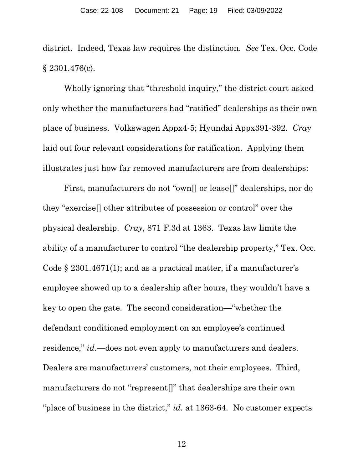district. Indeed, Texas law requires the distinction. *See* Tex. Occ. Code § 2301.476(c).

Wholly ignoring that "threshold inquiry," the district court asked only whether the manufacturers had "ratified" dealerships as their own place of business. Volkswagen Appx4-5; Hyundai Appx391-392. *Cray*  laid out four relevant considerations for ratification. Applying them illustrates just how far removed manufacturers are from dealerships:

First, manufacturers do not "own[] or lease[]" dealerships, nor do they "exercise[] other attributes of possession or control" over the physical dealership. *Cray*, 871 F.3d at 1363. Texas law limits the ability of a manufacturer to control "the dealership property," Tex. Occ. Code § 2301.4671(1); and as a practical matter, if a manufacturer's employee showed up to a dealership after hours, they wouldn't have a key to open the gate. The second consideration—"whether the defendant conditioned employment on an employee's continued residence," *id*.—does not even apply to manufacturers and dealers. Dealers are manufacturers' customers, not their employees. Third, manufacturers do not "represent[]" that dealerships are their own "place of business in the district," *id.* at 1363-64. No customer expects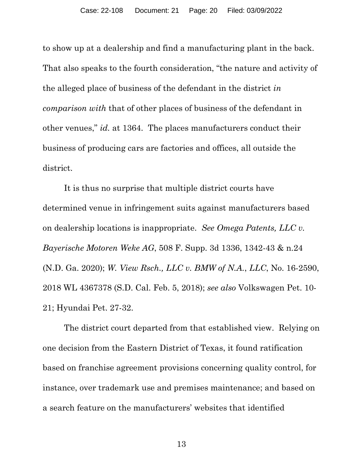to show up at a dealership and find a manufacturing plant in the back. That also speaks to the fourth consideration, "the nature and activity of the alleged place of business of the defendant in the district *in comparison with* that of other places of business of the defendant in other venues," *id.* at 1364.The places manufacturers conduct their business of producing cars are factories and offices, all outside the district.

It is thus no surprise that multiple district courts have determined venue in infringement suits against manufacturers based on dealership locations is inappropriate. *See Omega Patents, LLC v. Bayerische Motoren Weke AG*, 508 F. Supp. 3d 1336, 1342-43 & n.24 (N.D. Ga. 2020); *W. View Rsch., LLC v. BMW of N.A.*, *LLC*, No. 16-2590, 2018 WL 4367378 (S.D. Cal. Feb. 5, 2018); *see also* Volkswagen Pet. 10- 21; Hyundai Pet. 27-32.

The district court departed from that established view. Relying on one decision from the Eastern District of Texas, it found ratification based on franchise agreement provisions concerning quality control, for instance, over trademark use and premises maintenance; and based on a search feature on the manufacturers' websites that identified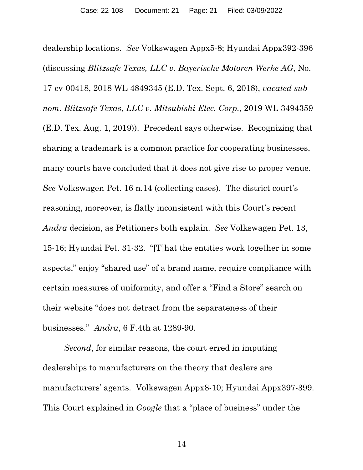dealership locations. *See* Volkswagen Appx5-8; Hyundai Appx392-396 (discussing *Blitzsafe Texas, LLC v. Bayerische Motoren Werke AG*, No. 17-cv-00418, 2018 WL 4849345 (E.D. Tex. Sept. 6, 2018), *vacated sub nom. Blitzsafe Texas, LLC v. Mitsubishi Elec. Corp.,* 2019 WL 3494359 (E.D. Tex. Aug. 1, 2019)). Precedent says otherwise. Recognizing that sharing a trademark is a common practice for cooperating businesses, many courts have concluded that it does not give rise to proper venue. *See* Volkswagen Pet. 16 n.14 (collecting cases). The district court's reasoning, moreover, is flatly inconsistent with this Court's recent *Andra* decision, as Petitioners both explain. *See* Volkswagen Pet. 13, 15-16; Hyundai Pet. 31-32. "[T]hat the entities work together in some aspects," enjoy "shared use" of a brand name, require compliance with certain measures of uniformity, and offer a "Find a Store" search on their website "does not detract from the separateness of their businesses." *Andra*, 6 F.4th at 1289-90.

*Second*, for similar reasons, the court erred in imputing dealerships to manufacturers on the theory that dealers are manufacturers' agents. Volkswagen Appx8-10; Hyundai Appx397-399. This Court explained in *Google* that a "place of business" under the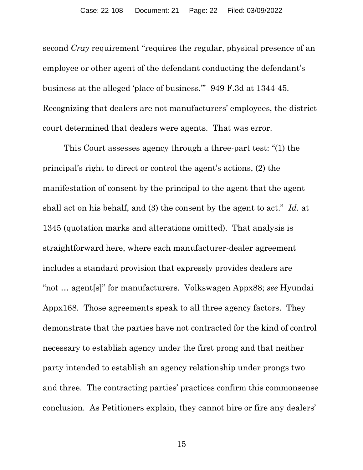second *Cray* requirement "requires the regular, physical presence of an employee or other agent of the defendant conducting the defendant's business at the alleged 'place of business.'" 949 F.3d at 1344-45. Recognizing that dealers are not manufacturers' employees, the district court determined that dealers were agents. That was error.

This Court assesses agency through a three-part test: "(1) the principal's right to direct or control the agent's actions, (2) the manifestation of consent by the principal to the agent that the agent shall act on his behalf, and (3) the consent by the agent to act." *Id.* at 1345 (quotation marks and alterations omitted). That analysis is straightforward here, where each manufacturer-dealer agreement includes a standard provision that expressly provides dealers are "not … agent[s]" for manufacturers. Volkswagen Appx88; *see* Hyundai Appx168. Those agreements speak to all three agency factors. They demonstrate that the parties have not contracted for the kind of control necessary to establish agency under the first prong and that neither party intended to establish an agency relationship under prongs two and three. The contracting parties' practices confirm this commonsense conclusion. As Petitioners explain, they cannot hire or fire any dealers'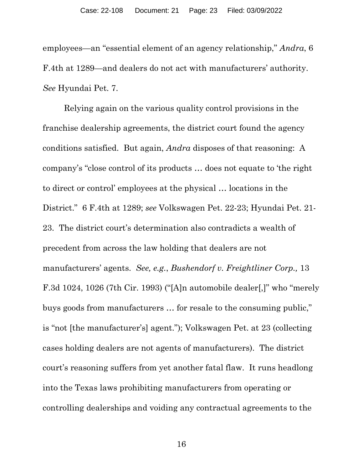employees—an "essential element of an agency relationship," *Andra*, 6 F.4th at 1289—and dealers do not act with manufacturers' authority. *See* Hyundai Pet. 7.

Relying again on the various quality control provisions in the franchise dealership agreements, the district court found the agency conditions satisfied. But again, *Andra* disposes of that reasoning: A company's "close control of its products … does not equate to 'the right to direct or control' employees at the physical … locations in the District." 6 F.4th at 1289; *see* Volkswagen Pet. 22-23; Hyundai Pet. 21- 23. The district court's determination also contradicts a wealth of precedent from across the law holding that dealers are not manufacturers' agents. *See, e.g.*, *Bushendorf v. Freightliner Corp.,* 13 F.3d 1024, 1026 (7th Cir. 1993) ("[A]n automobile dealer[,]" who "merely buys goods from manufacturers … for resale to the consuming public," is "not [the manufacturer's] agent."); Volkswagen Pet. at 23 (collecting cases holding dealers are not agents of manufacturers). The district court's reasoning suffers from yet another fatal flaw. It runs headlong into the Texas laws prohibiting manufacturers from operating or controlling dealerships and voiding any contractual agreements to the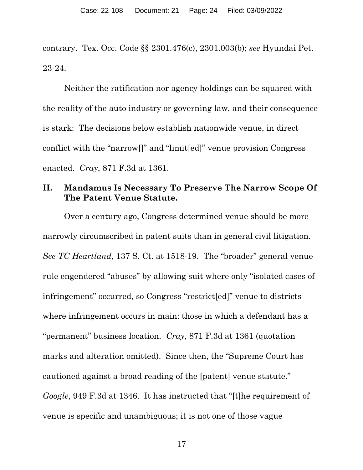contrary. Tex. Occ. Code §§ 2301.476(c), 2301.003(b); *see* Hyundai Pet. 23-24.

Neither the ratification nor agency holdings can be squared with the reality of the auto industry or governing law, and their consequence is stark: The decisions below establish nationwide venue, in direct conflict with the "narrow[]" and "limit[ed]" venue provision Congress enacted. *Cray*, 871 F.3d at 1361.

#### **II. Mandamus Is Necessary To Preserve The Narrow Scope Of The Patent Venue Statute.**

Over a century ago, Congress determined venue should be more narrowly circumscribed in patent suits than in general civil litigation. *See TC Heartland*, 137 S. Ct. at 1518-19. The "broader" general venue rule engendered "abuses" by allowing suit where only "isolated cases of infringement" occurred, so Congress "restrict[ed]" venue to districts where infringement occurs in main: those in which a defendant has a "permanent" business location. *Cray*, 871 F.3d at 1361 (quotation marks and alteration omitted). Since then, the "Supreme Court has cautioned against a broad reading of the [patent] venue statute." *Google*, 949 F.3d at 1346. It has instructed that "[t]he requirement of venue is specific and unambiguous; it is not one of those vague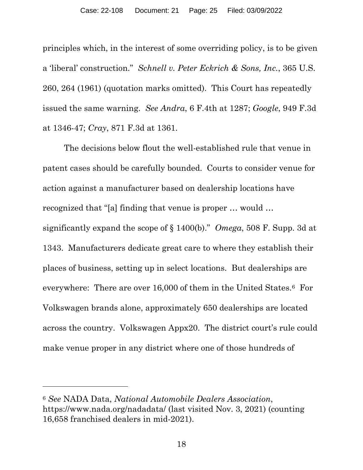principles which, in the interest of some overriding policy, is to be given a 'liberal' construction." *Schnell v. Peter Eckrich & Sons, Inc.*, 365 U.S. 260, 264 (1961) (quotation marks omitted). This Court has repeatedly issued the same warning. *See Andra*, 6 F.4th at 1287; *Google*, 949 F.3d at 1346-47; *Cray*, 871 F.3d at 1361.

The decisions below flout the well-established rule that venue in patent cases should be carefully bounded. Courts to consider venue for action against a manufacturer based on dealership locations have recognized that "[a] finding that venue is proper … would … significantly expand the scope of § 1400(b)." *Omega*, 508 F. Supp. 3d at 1343. Manufacturers dedicate great care to where they establish their places of business, setting up in select locations. But dealerships are everywhere: There are over 16,000 of them in the United States.6 For Volkswagen brands alone, approximately 650 dealerships are located across the country. Volkswagen Appx20. The district court's rule could make venue proper in any district where one of those hundreds of

<sup>6</sup> *See* NADA Data, *National Automobile Dealers Association*, https://www.nada.org/nadadata/ (last visited Nov. 3, 2021) (counting 16,658 franchised dealers in mid-2021).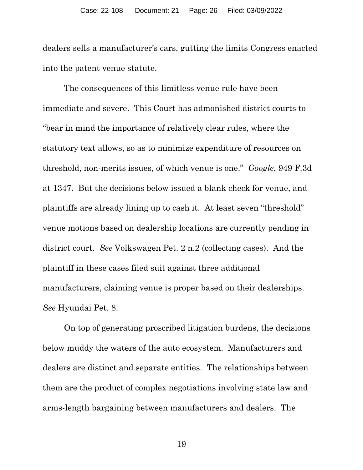dealers sells a manufacturer's cars, gutting the limits Congress enacted into the patent venue statute.

The consequences of this limitless venue rule have been immediate and severe. This Court has admonished district courts to "bear in mind the importance of relatively clear rules, where the statutory text allows, so as to minimize expenditure of resources on threshold, non-merits issues, of which venue is one." *Google*, 949 F.3d at 1347. But the decisions below issued a blank check for venue, and plaintiffs are already lining up to cash it. At least seven "threshold" venue motions based on dealership locations are currently pending in district court. *See* Volkswagen Pet. 2 n.2 (collecting cases). And the plaintiff in these cases filed suit against three additional manufacturers, claiming venue is proper based on their dealerships. *See* Hyundai Pet. 8.

On top of generating proscribed litigation burdens, the decisions below muddy the waters of the auto ecosystem. Manufacturers and dealers are distinct and separate entities. The relationships between them are the product of complex negotiations involving state law and arms-length bargaining between manufacturers and dealers. The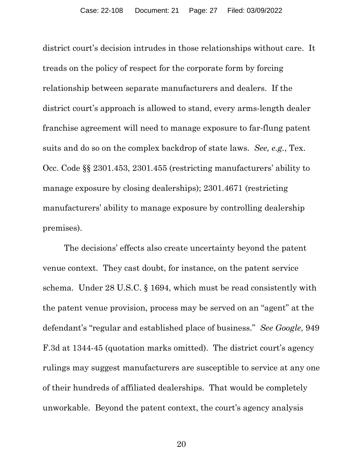district court's decision intrudes in those relationships without care. It treads on the policy of respect for the corporate form by forcing relationship between separate manufacturers and dealers. If the district court's approach is allowed to stand, every arms-length dealer franchise agreement will need to manage exposure to far-flung patent suits and do so on the complex backdrop of state laws. *See, e.g.*, Tex. Occ. Code §§ 2301.453, 2301.455 (restricting manufacturers' ability to manage exposure by closing dealerships); 2301.4671 (restricting manufacturers' ability to manage exposure by controlling dealership premises).

The decisions' effects also create uncertainty beyond the patent venue context. They cast doubt, for instance, on the patent service schema. Under 28 U.S.C. § 1694, which must be read consistently with the patent venue provision, process may be served on an "agent" at the defendant's "regular and established place of business." *See Google*, 949 F.3d at 1344-45 (quotation marks omitted). The district court's agency rulings may suggest manufacturers are susceptible to service at any one of their hundreds of affiliated dealerships. That would be completely unworkable. Beyond the patent context, the court's agency analysis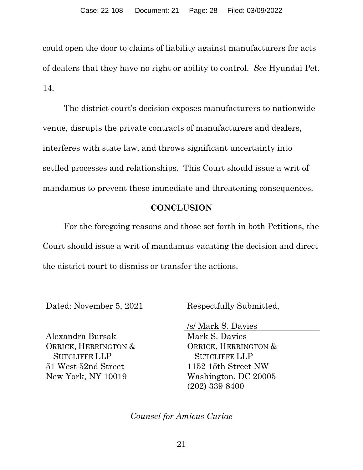could open the door to claims of liability against manufacturers for acts of dealers that they have no right or ability to control. *See* Hyundai Pet. 14.

The district court's decision exposes manufacturers to nationwide venue, disrupts the private contracts of manufacturers and dealers, interferes with state law, and throws significant uncertainty into settled processes and relationships. This Court should issue a writ of mandamus to prevent these immediate and threatening consequences.

### **CONCLUSION**

For the foregoing reasons and those set forth in both Petitions, the Court should issue a writ of mandamus vacating the decision and direct the district court to dismiss or transfer the actions.

Dated: November 5, 2021 Respectfully Submitted,

Alexandra Bursak ORRICK, HERRINGTON & SUTCLIFFE LLP 51 West 52nd Street New York, NY 10019

/s/ Mark S. Davies Mark S. Davies ORRICK, HERRINGTON & SUTCLIFFE LLP 1152 15th Street NW Washington, DC 20005 (202) 339-8400

*Counsel for Amicus Curiae*